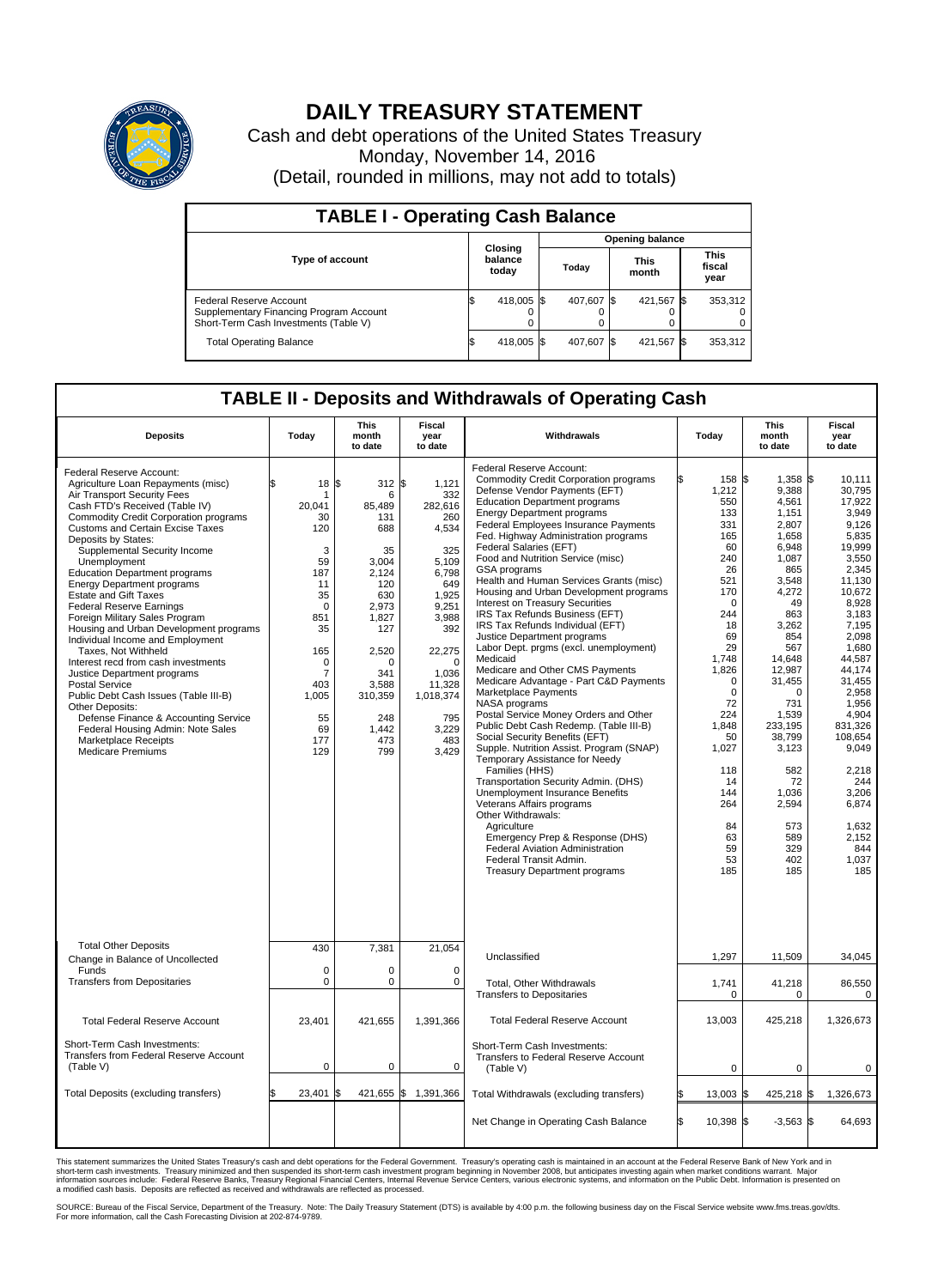

## **DAILY TREASURY STATEMENT**

Cash and debt operations of the United States Treasury Monday, November 14, 2016 (Detail, rounded in millions, may not add to totals)

| <b>TABLE I - Operating Cash Balance</b>                                                                     |     |                             |                        |            |  |                      |  |                               |  |
|-------------------------------------------------------------------------------------------------------------|-----|-----------------------------|------------------------|------------|--|----------------------|--|-------------------------------|--|
|                                                                                                             |     |                             | <b>Opening balance</b> |            |  |                      |  |                               |  |
| <b>Type of account</b>                                                                                      |     | Closing<br>balance<br>today |                        | Today      |  | <b>This</b><br>month |  | <b>This</b><br>fiscal<br>year |  |
| Federal Reserve Account<br>Supplementary Financing Program Account<br>Short-Term Cash Investments (Table V) |     | 418,005 \$                  |                        | 407,607 \$ |  | 421,567 \$           |  | 353,312                       |  |
| <b>Total Operating Balance</b>                                                                              | I\$ | 418,005 \$                  |                        | 407,607    |  | 421,567 \$           |  | 353,312                       |  |

## **TABLE II - Deposits and Withdrawals of Operating Cash**

| <b>Deposits</b>                                                                                                                                                                                                                                                                                                                                                                                                                                                                                                                                                                                                                                                                                                                                                                                                                                                                      | Today                                                                                                                                                                             | <b>This</b><br>month<br>to date                                                                                                                                                | <b>Fiscal</b><br>year<br>to date                                                                                                                                                                   | Withdrawals                                                                                                                                                                                                                                                                                                                                                                                                                                                                                                                                                                                                                                                                                                                                                                                                                                                                                                                                                                                                                                                                                                                                                                                                                                                                    | Today                                                                                                                                                                                                                                                         | <b>This</b><br>month<br>to date                                                                                                                                                                                                                                                                  | <b>Fiscal</b><br>year<br>to date                                                                                                                                                                                                                                                                                      |
|--------------------------------------------------------------------------------------------------------------------------------------------------------------------------------------------------------------------------------------------------------------------------------------------------------------------------------------------------------------------------------------------------------------------------------------------------------------------------------------------------------------------------------------------------------------------------------------------------------------------------------------------------------------------------------------------------------------------------------------------------------------------------------------------------------------------------------------------------------------------------------------|-----------------------------------------------------------------------------------------------------------------------------------------------------------------------------------|--------------------------------------------------------------------------------------------------------------------------------------------------------------------------------|----------------------------------------------------------------------------------------------------------------------------------------------------------------------------------------------------|--------------------------------------------------------------------------------------------------------------------------------------------------------------------------------------------------------------------------------------------------------------------------------------------------------------------------------------------------------------------------------------------------------------------------------------------------------------------------------------------------------------------------------------------------------------------------------------------------------------------------------------------------------------------------------------------------------------------------------------------------------------------------------------------------------------------------------------------------------------------------------------------------------------------------------------------------------------------------------------------------------------------------------------------------------------------------------------------------------------------------------------------------------------------------------------------------------------------------------------------------------------------------------|---------------------------------------------------------------------------------------------------------------------------------------------------------------------------------------------------------------------------------------------------------------|--------------------------------------------------------------------------------------------------------------------------------------------------------------------------------------------------------------------------------------------------------------------------------------------------|-----------------------------------------------------------------------------------------------------------------------------------------------------------------------------------------------------------------------------------------------------------------------------------------------------------------------|
| Federal Reserve Account:<br>Agriculture Loan Repayments (misc)<br>Air Transport Security Fees<br>Cash FTD's Received (Table IV)<br><b>Commodity Credit Corporation programs</b><br>Customs and Certain Excise Taxes<br>Deposits by States:<br>Supplemental Security Income<br>Unemployment<br><b>Education Department programs</b><br><b>Energy Department programs</b><br><b>Estate and Gift Taxes</b><br><b>Federal Reserve Earnings</b><br>Foreign Military Sales Program<br>Housing and Urban Development programs<br>Individual Income and Employment<br>Taxes, Not Withheld<br>Interest recd from cash investments<br>Justice Department programs<br><b>Postal Service</b><br>Public Debt Cash Issues (Table III-B)<br>Other Deposits:<br>Defense Finance & Accounting Service<br>Federal Housing Admin: Note Sales<br><b>Marketplace Receipts</b><br><b>Medicare Premiums</b> | 18<br>\$<br>-1<br>20,041<br>30<br>120<br>3<br>59<br>187<br>11<br>35<br>$\mathbf 0$<br>851<br>35<br>165<br>$\mathbf 0$<br>$\overline{7}$<br>403<br>1,005<br>55<br>69<br>177<br>129 | l\$<br>312S<br>6<br>85,489<br>131<br>688<br>35<br>3,004<br>2.124<br>120<br>630<br>2.973<br>1,827<br>127<br>2,520<br>0<br>341<br>3,588<br>310,359<br>248<br>1,442<br>473<br>799 | 1,121<br>332<br>282,616<br>260<br>4,534<br>325<br>5,109<br>6.798<br>649<br>1,925<br>9.251<br>3,988<br>392<br>22,275<br>$\mathbf 0$<br>1.036<br>11,328<br>1,018,374<br>795<br>3,229<br>483<br>3,429 | Federal Reserve Account:<br><b>Commodity Credit Corporation programs</b><br>Defense Vendor Payments (EFT)<br><b>Education Department programs</b><br><b>Energy Department programs</b><br>Federal Employees Insurance Payments<br>Fed. Highway Administration programs<br>Federal Salaries (EFT)<br>Food and Nutrition Service (misc)<br><b>GSA</b> programs<br>Health and Human Services Grants (misc)<br>Housing and Urban Development programs<br>Interest on Treasury Securities<br>IRS Tax Refunds Business (EFT)<br>IRS Tax Refunds Individual (EFT)<br>Justice Department programs<br>Labor Dept. prgms (excl. unemployment)<br>Medicaid<br>Medicare and Other CMS Payments<br>Medicare Advantage - Part C&D Payments<br>Marketplace Payments<br>NASA programs<br>Postal Service Money Orders and Other<br>Public Debt Cash Redemp. (Table III-B)<br>Social Security Benefits (EFT)<br>Supple. Nutrition Assist. Program (SNAP)<br>Temporary Assistance for Needy<br>Families (HHS)<br>Transportation Security Admin. (DHS)<br>Unemployment Insurance Benefits<br>Veterans Affairs programs<br>Other Withdrawals:<br>Agriculture<br>Emergency Prep & Response (DHS)<br>Federal Aviation Administration<br>Federal Transit Admin.<br><b>Treasury Department programs</b> | 158 \$<br>1,212<br>550<br>133<br>331<br>165<br>60<br>240<br>26<br>521<br>170<br>$\Omega$<br>244<br>18<br>69<br>29<br>1,748<br>1,826<br>$\Omega$<br>$\mathbf 0$<br>72<br>224<br>1,848<br>50<br>1,027<br>118<br>14<br>144<br>264<br>84<br>63<br>59<br>53<br>185 | $1,358$ \$<br>9,388<br>4,561<br>1.151<br>2,807<br>1,658<br>6,948<br>1,087<br>865<br>3,548<br>4,272<br>49<br>863<br>3,262<br>854<br>567<br>14,648<br>12,987<br>31,455<br>$\Omega$<br>731<br>1,539<br>233.195<br>38,799<br>3,123<br>582<br>72<br>1.036<br>2,594<br>573<br>589<br>329<br>402<br>185 | 10.111<br>30,795<br>17,922<br>3.949<br>9,126<br>5.835<br>19.999<br>3,550<br>2,345<br>11.130<br>10,672<br>8,928<br>3.183<br>7,195<br>2.098<br>1,680<br>44,587<br>44,174<br>31,455<br>2,958<br>1,956<br>4,904<br>831.326<br>108,654<br>9,049<br>2,218<br>244<br>3.206<br>6,874<br>1.632<br>2,152<br>844<br>1,037<br>185 |
| <b>Total Other Deposits</b>                                                                                                                                                                                                                                                                                                                                                                                                                                                                                                                                                                                                                                                                                                                                                                                                                                                          | 430                                                                                                                                                                               | 7,381                                                                                                                                                                          | 21,054                                                                                                                                                                                             |                                                                                                                                                                                                                                                                                                                                                                                                                                                                                                                                                                                                                                                                                                                                                                                                                                                                                                                                                                                                                                                                                                                                                                                                                                                                                |                                                                                                                                                                                                                                                               |                                                                                                                                                                                                                                                                                                  |                                                                                                                                                                                                                                                                                                                       |
| Change in Balance of Uncollected<br>Funds                                                                                                                                                                                                                                                                                                                                                                                                                                                                                                                                                                                                                                                                                                                                                                                                                                            | $\mathbf 0$                                                                                                                                                                       | 0                                                                                                                                                                              | $\mathbf 0$                                                                                                                                                                                        | Unclassified                                                                                                                                                                                                                                                                                                                                                                                                                                                                                                                                                                                                                                                                                                                                                                                                                                                                                                                                                                                                                                                                                                                                                                                                                                                                   | 1,297                                                                                                                                                                                                                                                         | 11,509                                                                                                                                                                                                                                                                                           | 34,045                                                                                                                                                                                                                                                                                                                |
| <b>Transfers from Depositaries</b>                                                                                                                                                                                                                                                                                                                                                                                                                                                                                                                                                                                                                                                                                                                                                                                                                                                   | $\mathbf 0$                                                                                                                                                                       | 0                                                                                                                                                                              | 0                                                                                                                                                                                                  | Total, Other Withdrawals<br><b>Transfers to Depositaries</b>                                                                                                                                                                                                                                                                                                                                                                                                                                                                                                                                                                                                                                                                                                                                                                                                                                                                                                                                                                                                                                                                                                                                                                                                                   | 1,741<br>$\mathbf 0$                                                                                                                                                                                                                                          | 41,218<br>$\mathbf 0$                                                                                                                                                                                                                                                                            | 86,550<br>$\mathbf 0$                                                                                                                                                                                                                                                                                                 |
| <b>Total Federal Reserve Account</b>                                                                                                                                                                                                                                                                                                                                                                                                                                                                                                                                                                                                                                                                                                                                                                                                                                                 | 23,401                                                                                                                                                                            | 421,655                                                                                                                                                                        | 1,391,366                                                                                                                                                                                          | <b>Total Federal Reserve Account</b>                                                                                                                                                                                                                                                                                                                                                                                                                                                                                                                                                                                                                                                                                                                                                                                                                                                                                                                                                                                                                                                                                                                                                                                                                                           | 13,003                                                                                                                                                                                                                                                        | 425,218                                                                                                                                                                                                                                                                                          | 1,326,673                                                                                                                                                                                                                                                                                                             |
| Short-Term Cash Investments:<br><b>Transfers from Federal Reserve Account</b><br>(Table V)                                                                                                                                                                                                                                                                                                                                                                                                                                                                                                                                                                                                                                                                                                                                                                                           | $\pmb{0}$                                                                                                                                                                         | 0                                                                                                                                                                              | 0                                                                                                                                                                                                  | Short-Term Cash Investments:<br>Transfers to Federal Reserve Account<br>(Table V)                                                                                                                                                                                                                                                                                                                                                                                                                                                                                                                                                                                                                                                                                                                                                                                                                                                                                                                                                                                                                                                                                                                                                                                              | $\mathbf 0$                                                                                                                                                                                                                                                   | 0                                                                                                                                                                                                                                                                                                | 0                                                                                                                                                                                                                                                                                                                     |
| Total Deposits (excluding transfers)                                                                                                                                                                                                                                                                                                                                                                                                                                                                                                                                                                                                                                                                                                                                                                                                                                                 | 23,401                                                                                                                                                                            | 421,655 \$                                                                                                                                                                     | 1,391,366                                                                                                                                                                                          | Total Withdrawals (excluding transfers)                                                                                                                                                                                                                                                                                                                                                                                                                                                                                                                                                                                                                                                                                                                                                                                                                                                                                                                                                                                                                                                                                                                                                                                                                                        | 13,003 \$                                                                                                                                                                                                                                                     | 425,218 \$                                                                                                                                                                                                                                                                                       | 1,326,673                                                                                                                                                                                                                                                                                                             |
|                                                                                                                                                                                                                                                                                                                                                                                                                                                                                                                                                                                                                                                                                                                                                                                                                                                                                      |                                                                                                                                                                                   |                                                                                                                                                                                |                                                                                                                                                                                                    | Net Change in Operating Cash Balance                                                                                                                                                                                                                                                                                                                                                                                                                                                                                                                                                                                                                                                                                                                                                                                                                                                                                                                                                                                                                                                                                                                                                                                                                                           | ß.<br>10,398 \$                                                                                                                                                                                                                                               | $-3,563$ \$                                                                                                                                                                                                                                                                                      | 64,693                                                                                                                                                                                                                                                                                                                |

This statement summarizes the United States Treasury's cash and debt operations for the Federal Government. Treasury's operating cash is maintained in an account at the Federal Reserve Bank of New York and in<br>short-term ca

SOURCE: Bureau of the Fiscal Service, Department of the Treasury. Note: The Daily Treasury Statement (DTS) is available by 4:00 p.m. the following business day on the Fiscal Service website www.fms.treas.gov/dts.<br>For more